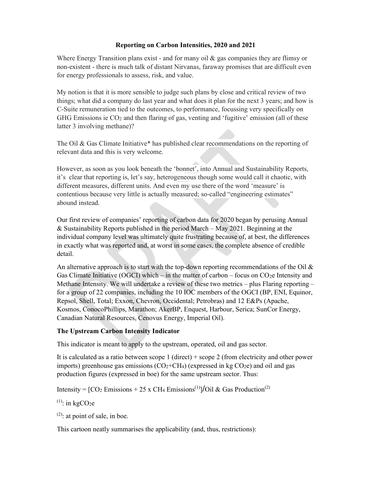#### Reporting on Carbon Intensities, 2020 and 2021

Where Energy Transition plans exist - and for many oil & gas companies they are flimsy or non-existent - there is much talk of distant Nirvanas, faraway promises that are difficult even for energy professionals to assess, risk, and value.

My notion is that it is more sensible to judge such plans by close and critical review of two things; what did a company do last year and what does it plan for the next 3 years; and how is C-Suite remuneration tied to the outcomes, to performance, focussing very specifically on GHG Emissions ie  $CO<sub>2</sub>$  and then flaring of gas, venting and 'fugitive' emission (all of these latter 3 involving methane)?

The Oil & Gas Climate Initiative\* has published clear recommendations on the reporting of relevant data and this is very welcome.

However, as soon as you look beneath the 'bonnet', into Annual and Sustainability Reports, it's clear that reporting is, let's say, heterogeneous though some would call it chaotic, with different measures, different units. And even my use there of the word 'measure' is contentious because very little is actually measured; so-called "engineering estimates" abound instead.

Our first review of companies' reporting of carbon data for 2020 began by perusing Annual & Sustainability Reports published in the period March – May 2021. Beginning at the individual company level was ultimately quite frustrating because of, at best, the differences in exactly what was reported and, at worst in some cases, the complete absence of credible detail.

An alternative approach is to start with the top-down reporting recommendations of the Oil  $\&$ Gas Climate Initiative (OGCI) which – in the matter of carbon – focus on  $CO<sub>2</sub>e$  Intensity and Methane Intensity. We will undertake a review of these two metrics – plus Flaring reporting – for a group of 22 companies, including the 10 IOC members of the OGCI (BP, ENI, Equinor, Repsol, Shell, Total; Exxon, Chevron, Occidental; Petrobras) and 12 E&Ps (Apache, Kosmos, ConocoPhillips, Marathon; AkerBP, Enquest, Harbour, Serica; SunCor Energy, Canadian Natural Resources, Cenovus Energy, Imperial Oil).

#### The Upstream Carbon Intensity Indicator

This indicator is meant to apply to the upstream, operated, oil and gas sector.

It is calculated as a ratio between scope 1 (direct) + scope 2 (from electricity and other power imports) greenhouse gas emissions  $(CO_2+CH_4)$  (expressed in kg  $CO_2e$ ) and oil and gas production figures (expressed in boe) for the same upstream sector. Thus:

Intensity =  $[CO_2$  Emissions + 25 x CH<sub>4</sub> Emissions<sup>(1)</sup>]/Oil & Gas Production<sup>(2)</sup>

 $(1)$ : in kgCO<sub>2</sub>e

 $(2)$ : at point of sale, in boe.

This cartoon neatly summarises the applicability (and, thus, restrictions):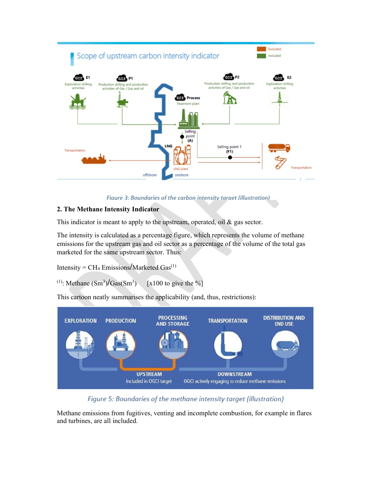

Figure 3: Boundaries of the carbon intensity target (illustration)

# 2. The Methane Intensity Indicator

This indicator is meant to apply to the upstream, operated, oil & gas sector.

The intensity is calculated as a percentage figure, which represents the volume of methane emissions for the upstream gas and oil sector as a percentage of the volume of the total gas marketed for the same upstream sector. Thus:

Intensity =  $CH_4$  Emissions/Marketed Gas<sup>(1)</sup>

<sup>(1)</sup>: Methane  $(Sm^3)/Gas(Sm^3)$  [x100 to give the %]

This cartoon neatly summarises the applicability (and, thus, restrictions):



Figure 5: Boundaries of the methane intensity target (illustration)

Methane emissions from fugitives, venting and incomplete combustion, for example in flares and turbines, are all included.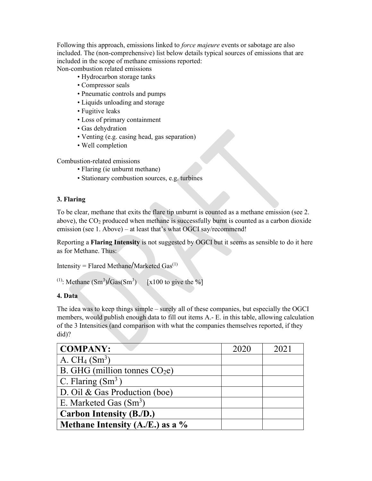Following this approach, emissions linked to *force majeure* events or sabotage are also included. The (non-comprehensive) list below details typical sources of emissions that are included in the scope of methane emissions reported: Non-combustion related emissions

• Hydrocarbon storage tanks

- Compressor seals
- Pneumatic controls and pumps
- Liquids unloading and storage
- Fugitive leaks
- Loss of primary containment
- Gas dehydration
- Venting (e.g. casing head, gas separation)
- Well completion

Combustion-related emissions

- Flaring (ie unburnt methane)
- Stationary combustion sources, e.g. turbines

## 3. Flaring

To be clear, methane that exits the flare tip unburnt is counted as a methane emission (see 2. above), the  $CO<sub>2</sub>$  produced when methane is successfully burnt is counted as a carbon dioxide emission (see 1. Above) – at least that's what OGCI say/recommend!

Reporting a Flaring Intensity is not suggested by OGCI but it seems as sensible to do it here as for Methane. Thus:

```
Intensity = Flared Methane/Marketed Gas^{(1)}
```

```
<sup>(1)</sup>: Methane (Sm^3)/Gas(Sm^3) [x100 to give the %]
```
## 4. Data

The idea was to keep things simple – surely all of these companies, but especially the OGCI members, would publish enough data to fill out items A.- E. in this table, allowing calculation of the 3 Intensities (and comparison with what the companies themselves reported, if they did)?

| <b>COMPANY:</b>                   | 2020 | 2021 |
|-----------------------------------|------|------|
| A. $CH_4(Sm^3)$                   |      |      |
| B. GHG (million tonnes $CO2e$ )   |      |      |
| C. Flaring $(Sm^3)$               |      |      |
| D. Oil & Gas Production (boe)     |      |      |
| E. Marketed Gas $(Sm3)$           |      |      |
| <b>Carbon Intensity (B./D.)</b>   |      |      |
| Methane Intensity $(A.E.)$ as a % |      |      |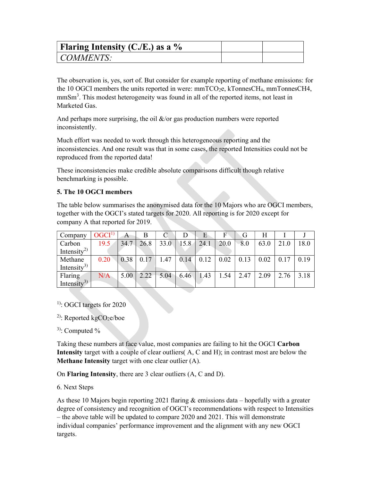| Flaring Intensity (C./E.) as a $\%$ |  |
|-------------------------------------|--|
| COMMENTS:                           |  |

The observation is, yes, sort of. But consider for example reporting of methane emissions: for the 10 OGCI members the units reported in were:  $mmTCO<sub>2</sub>e$ , kTonnesCH<sub>4</sub>, mmTonnesCH<sub>4</sub>, mmSm<sup>3</sup>. This modest heterogeneity was found in all of the reported items, not least in Marketed Gas.

And perhaps more surprising, the oil  $\&$ /or gas production numbers were reported inconsistently.

Much effort was needed to work through this heterogeneous reporting and the inconsistencies. And one result was that in some cases, the reported Intensities could not be reproduced from the reported data!

These inconsistencies make credible absolute comparisons difficult though relative benchmarking is possible.

## 5. The 10 OGCI members

The table below summarises the anonymised data for the 10 Majors who are OGCI members, together with the OGCI's stated targets for 2020. All reporting is for 2020 except for company A that reported for 2019.

| Company                 | $OGCI^{1}$ | А    |      |      |              | E             | F    |      | H    |      |      |
|-------------------------|------------|------|------|------|--------------|---------------|------|------|------|------|------|
| Carbon                  | 19.5       | 34.7 | 26.8 | 33.0 | 15.8         | 24.1          | 20.0 | 8.0  | 63.0 | 21.0 | 18.0 |
| Intensity <sup>2)</sup> |            |      |      |      |              |               |      |      |      |      |      |
| Methane                 | 0.20       | 0.38 | 0.17 | 1.47 | 0.14         | $\sqrt{0.12}$ | 0.02 | 0.13 | 0.02 | 0.17 | 0.19 |
| Intensity <sup>3)</sup> |            |      |      |      |              |               |      |      |      |      |      |
| Flaring                 | N/A        | 5.00 | 2.22 |      | $-5.04$ 6.46 | 1.43          | 1.54 | 2.47 | 2.09 | 2.76 | 3.18 |
| Intensity <sup>3)</sup> |            |      |      |      |              |               |      |      |      |      |      |

<sup>1</sup>): OGCI targets for 2020

<sup>2)</sup>: Reported kgCO<sub>2</sub>e/boe

 $3$ ): Computed %

Taking these numbers at face value, most companies are failing to hit the OGCI Carbon Intensity target with a couple of clear outliers( A, C and H); in contrast most are below the Methane Intensity target with one clear outlier (A).

On Flaring Intensity, there are 3 clear outliers (A, C and D).

#### 6. Next Steps

As these 10 Majors begin reporting 2021 flaring & emissions data – hopefully with a greater degree of consistency and recognition of OGCI's recommendations with respect to Intensities – the above table will be updated to compare 2020 and 2021. This will demonstrate individual companies' performance improvement and the alignment with any new OGCI targets.